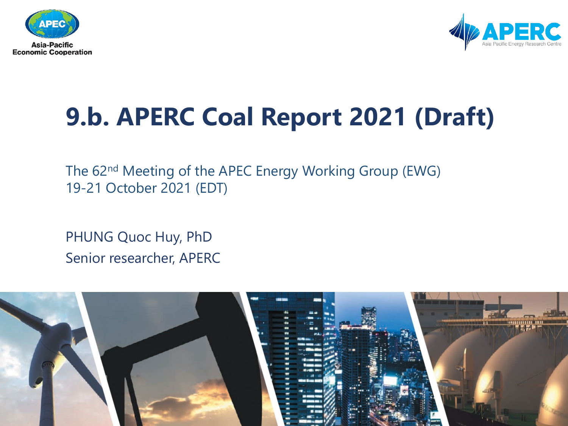



# **9.b. APERC Coal Report 2021 (Draft)**

The 62nd Meeting of the APEC Energy Working Group (EWG) 19-21 October 2021 (EDT)

PHUNG Quoc Huy, PhD Senior researcher, APERC

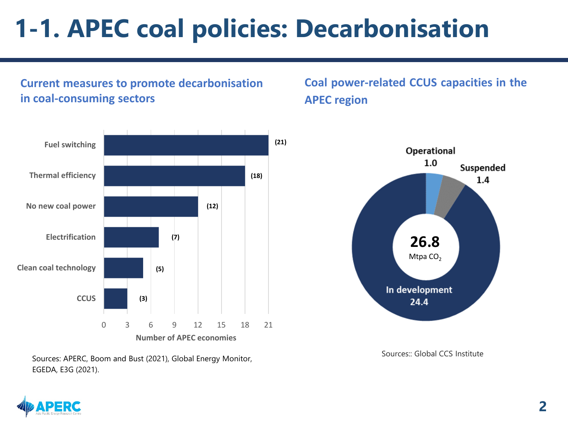### **1-1. APEC coal policies: Decarbonisation**

**Current measures to promote decarbonisation in coal-consuming sectors**



Sources: APERC, Boom and Bust (2021), Global Energy Monitor, EGEDA, E3G (2021).

### **Coal power-related CCUS capacities in the APEC region**



Sources:: Global CCS Institute

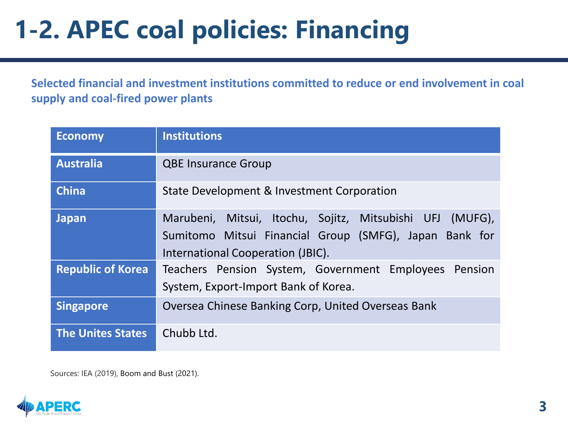# **1-2. APEC coal policies: Financing**

**Selected financial and investment institutions committed to reduce or end involvement in coal supply and coal-fired power plants** 

| <b>Economy</b>           | <b>Institutions</b>                                                                                                                                     |
|--------------------------|---------------------------------------------------------------------------------------------------------------------------------------------------------|
| <b>Australia</b>         | <b>QBE Insurance Group</b>                                                                                                                              |
| <b>China</b>             | State Development & Investment Corporation                                                                                                              |
| <b>Japan</b>             | Marubeni, Mitsui, Itochu, Sojitz, Mitsubishi UFJ (MUFG),<br>Sumitomo Mitsui Financial Group (SMFG), Japan Bank for<br>International Cooperation (JBIC). |
| <b>Republic of Korea</b> | Teachers Pension System, Government Employees Pension<br>System, Export-Import Bank of Korea.                                                           |
| <b>Singapore</b>         | Oversea Chinese Banking Corp, United Overseas Bank                                                                                                      |
| <b>The Unites States</b> | Chubb Ltd.                                                                                                                                              |

Sources: IEA (2019), Boom and Bust (2021).

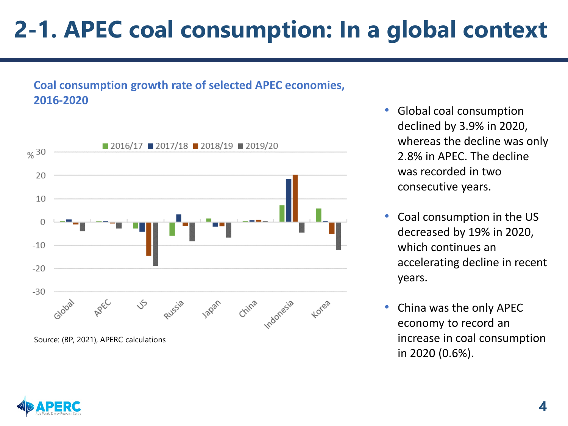### **2-1. APEC coal consumption: In a global context**

#### **Coal consumption growth rate of selected APEC economies, 2016-2020**



- Global coal consumption declined by 3.9% in 2020, whereas the decline was only 2.8% in APEC. The decline was recorded in two consecutive years.
- Coal consumption in the US decreased by 19% in 2020, which continues an accelerating decline in recent years.
- China was the only APEC economy to record an increase in coal consumption in 2020 (0.6%).

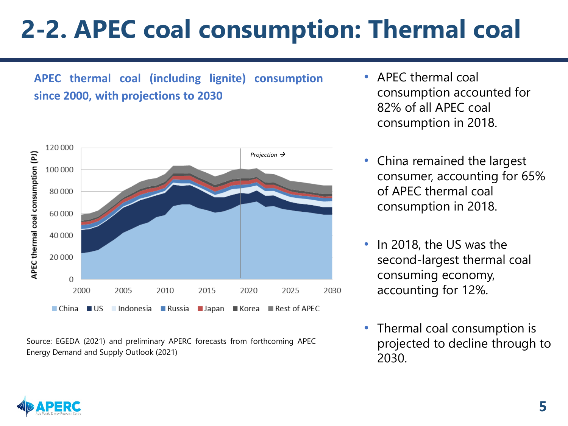# **2-2. APEC coal consumption: Thermal coal**

**APEC thermal coal (including lignite) consumption since 2000, with projections to 2030**



Source: EGEDA (2021) and preliminary APERC forecasts from forthcoming APEC Energy Demand and Supply Outlook (2021)

- APEC thermal coal consumption accounted for 82% of all APEC coal consumption in 2018.
- China remained the largest consumer, accounting for 65% of APEC thermal coal consumption in 2018.
- In 2018, the US was the second-largest thermal coal consuming economy, accounting for 12%.
- Thermal coal consumption is projected to decline through to 2030.

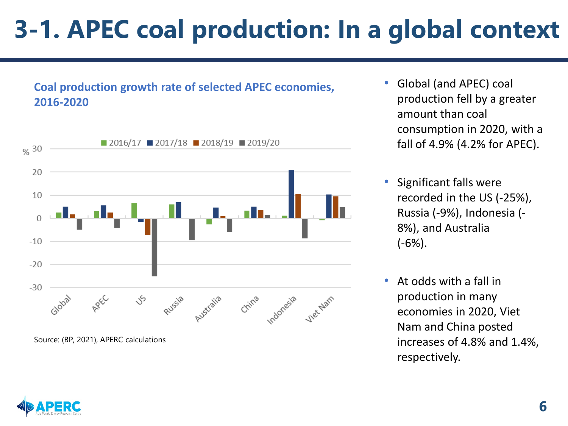# **3-1. APEC coal production: In a global context**

### **Coal production growth rate of selected APEC economies, 2016-2020**



Source: (BP, 2021), APERC calculations

- Global (and APEC) coal production fell by a greater amount than coal consumption in 2020, with a fall of 4.9% (4.2% for APEC).
- Significant falls were recorded in the US (-25%), Russia (-9%), Indonesia (- 8%), and Australia (-6%).
- At odds with a fall in production in many economies in 2020, Viet Nam and China posted increases of 4.8% and 1.4%, respectively.

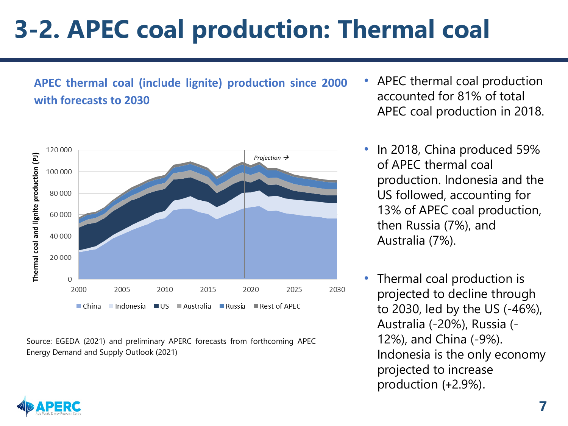# **3-2. APEC coal production: Thermal coal**

### **APEC thermal coal (include lignite) production since 2000 with forecasts to 2030**



Source: EGEDA (2021) and preliminary APERC forecasts from forthcoming APEC Energy Demand and Supply Outlook (2021)

- APEC thermal coal production accounted for 81% of total APEC coal production in 2018.
- In 2018, China produced 59% of APEC thermal coal production. Indonesia and the US followed, accounting for 13% of APEC coal production, then Russia (7%), and Australia (7%).
- Thermal coal production is projected to decline through to 2030, led by the US (-46%), Australia (-20%), Russia (- 12%), and China (-9%). Indonesia is the only economy projected to increase production (+2.9%).

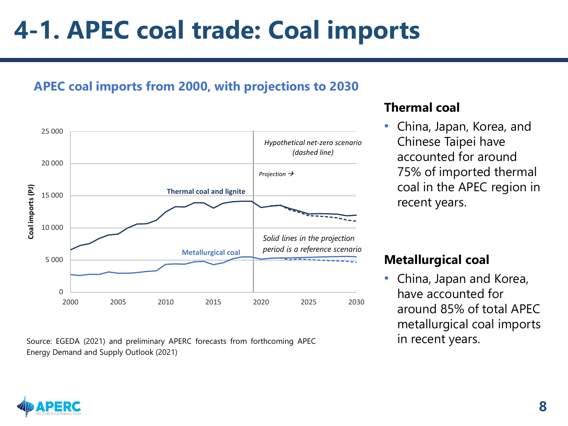### **4-1. APEC coal trade: Coal imports**

### **APEC coal imports from 2000, with projections to 2030**



Source: EGEDA (2021) and preliminary APERC forecasts from forthcoming APEC **in recent years.** Energy Demand and Supply Outlook (2021)

#### **Thermal coal**

• China, Japan, Korea, and Chinese Taipei have accounted for around 75% of imported thermal coal in the APEC region in recent years.

### **Metallurgical coal**

• China, Japan and Korea, have accounted for around 85% of total APEC metallurgical coal imports

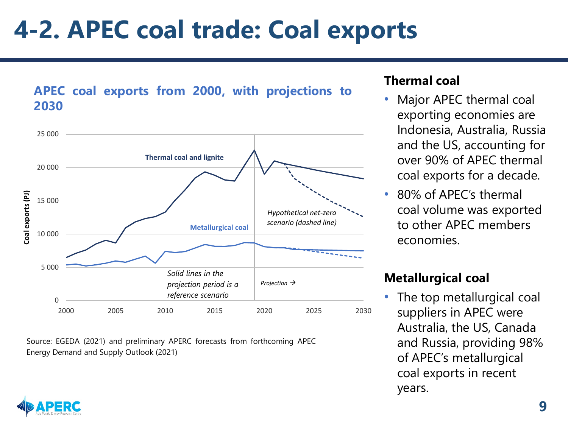### **4-2. APEC coal trade: Coal exports**





Source: EGEDA (2021) and preliminary APERC forecasts from forthcoming APEC Energy Demand and Supply Outlook (2021)

#### **Thermal coal**

- Major APEC thermal coal exporting economies are Indonesia, Australia, Russia and the US, accounting for over 90% of APEC thermal coal exports for a decade.
- 80% of APEC's thermal coal volume was exported to other APEC members economies.

### **Metallurgical coal**

• The top metallurgical coal suppliers in APEC were Australia, the US, Canada and Russia, providing 98% of APEC's metallurgical coal exports in recent years.

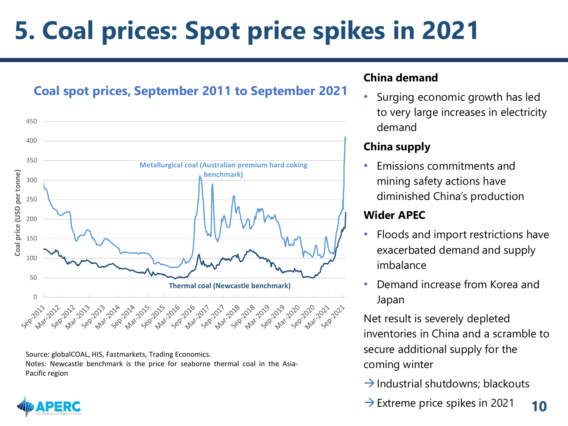# **5. Coal prices: Spot price spikes in 2021**





Source: globalCOAL, HIS, Fastmarkets, Trading Economics. Notes: Newcastle benchmark is the price for seaborne thermal coal in the Asia-Pacific region

#### **China demand**

• Surging economic growth has led to very large increases in electricity demand

#### **China supply**

• Emissions commitments and mining safety actions have diminished China's production

#### **Wider APEC**

- Floods and import restrictions have exacerbated demand and supply imbalance
- Demand increase from Korea and Japan

Net result is severely depleted inventories in China and a scramble to secure additional supply for the coming winter

- $\rightarrow$  Industrial shutdowns; blackouts
- $\rightarrow$  Extreme price spikes in 2021 **10**